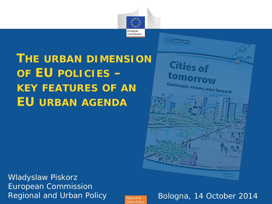

European Unio

**Cities of** 

**tomorrow** 

Challenges, visions, ways forward

**THE URBAN DIMENSION OF EU POLICIES – KEY FEATURES OF AN EU URBAN AGENDA**

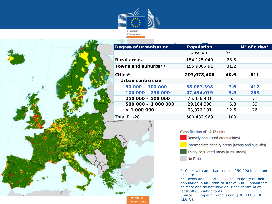

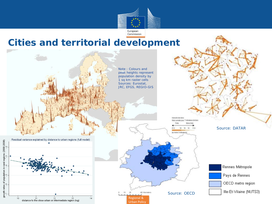

#### **Cities and territorial development**

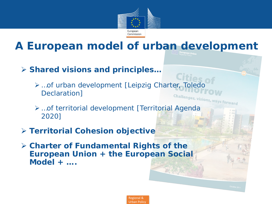

## **A European model of urban development**

- **Shared visions and principles…**
	- …of urban development [Leipzig Charter, Toledo Declaration] **Challenges, visions, ways forward**
	- …of territorial development [Territorial Agenda 2020]
- **Territorial Cohesion objective**
- **Charter of Fundamental Rights of the European Union + the European Social Model + ….**

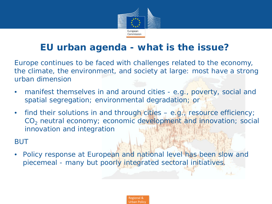

#### **EU urban agenda - what is the issue?**

Europe continues to be faced with challenges related to the economy, the climate, the environment, and society at large: *most have a strong urban dimension*

- manifest themselves in and around cities *e.g., poverty, social and spatial segregation; environmental degradation;* or
- find their solutions in and through cities *e.g., resource efficiency; CO2 neutral economy; economic development and innovation; social innovation and integration*

#### BUT

• *Policy response at European and national level has been slow and piecemeal - many but poorly integrated sectoral initiatives.*



 $\mathbf{L}$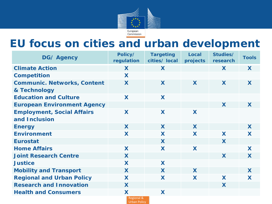

## **EU focus on cities and urban development**

| <b>DG/ Agency</b>                                  | Policy/<br>regulation | <b>Targeting</b><br>cities/ local | <b>Local</b><br>projects | Studies/<br>research | <b>Tools</b> |
|----------------------------------------------------|-----------------------|-----------------------------------|--------------------------|----------------------|--------------|
| <b>Climate Action</b>                              | X                     | X                                 |                          | X                    | X            |
| <b>Competition</b>                                 | X                     |                                   |                          |                      |              |
| <b>Communic. Networks, Content</b><br>& Technology | X                     | X                                 | X                        | X                    | X            |
| <b>Education and Culture</b>                       | X                     | X                                 |                          |                      |              |
| <b>European Environment Agency</b>                 |                       |                                   |                          | X                    | X            |
| <b>Employment, Social Affairs</b>                  | X                     | X                                 | X                        |                      |              |
| and Inclusion                                      |                       |                                   |                          |                      |              |
| <b>Energy</b>                                      | X                     | X                                 | X                        |                      | X            |
| <b>Environment</b>                                 | X                     | X                                 | X                        | X                    | X            |
| <b>Eurostat</b>                                    |                       | X                                 |                          | X                    |              |
| <b>Home Affairs</b>                                | X                     | X                                 | X                        |                      | X            |
| <b>Joint Research Centre</b>                       | X                     |                                   |                          | X                    | X            |
| <b>Justice</b>                                     | X                     | X                                 |                          |                      |              |
| <b>Mobility and Transport</b>                      | X                     | X                                 | X                        |                      | X            |
| <b>Regional and Urban Policy</b>                   | X                     | X                                 | X                        | X                    | X            |
| <b>Research and Innovation</b>                     | X                     |                                   |                          | X                    |              |
| <b>Health and Consumers</b>                        | X                     | X                                 |                          |                      |              |
| Regional &<br><b>Urban Policy</b>                  |                       |                                   |                          |                      |              |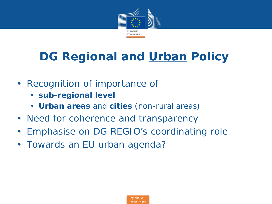

# **DG Regional and Urban Policy**

- *Recognition of importance of*
	- **sub-regional level**
	- **Urban areas** and **cities** (non-rural areas)
- *Need for coherence and transparency*
- *Emphasise on DG REGIO's coordinating role*
- *Towards an EU urban agenda?*

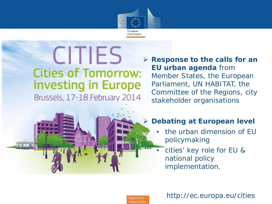

# **CITIES Cities of Tomorrow: Investing in Europe** Brussels, 17-18 February 2014

 **Response to the calls for an EU urban agenda** from Member States, the European Parliament, UN HABITAT, the Committee of the Regions, city stakeholder organisations

#### **Debating at European level**

- *the urban dimension of EU policymaking*
- *cities' key role for EU & national policy implementation.*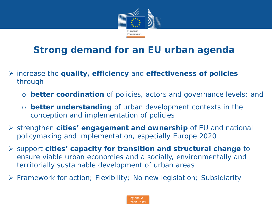

### **Strong demand for an EU urban agenda**

- increase the **quality, efficiency** and **effectiveness of policies**  through
	- o *better coordination* of policies, actors and governance levels; *and*
	- o *better understanding* of urban development contexts in the conception and implementation of policies
- strengthen *cities' engagement and ownership* of EU and national policymaking and implementation, especially Europe 2020
- support *cities' capacity for transition and structural change* to ensure viable urban economies and a socially, environmentally and territorially sustainable development of urban areas
- *Framework for action; Flexibility; No new legislation; Subsidiarity*

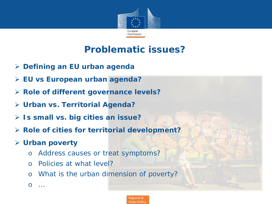

#### **Problematic issues?**

- **Defining an EU urban agenda**
- **EU vs European urban agenda?**
- **Role of different governance levels?**
- **Urban vs. Territorial Agenda?**
- **Is small vs. big cities an issue?**
- **Role of cities for territorial development?**
- **Urban poverty**
	- o Address causes or treat symptoms?
	- o Policies at what level?
	- o What is the urban dimension of poverty?
	- o …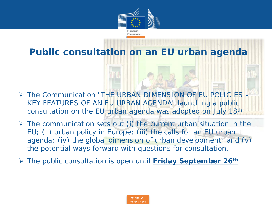

**Public consultation on an EU urban agenda**

- The Communication *"THE URBAN DIMENSION OF EU POLICIES – KEY FEATURES OF AN EU URBAN AGENDA"* launching a public consultation on the EU urban agenda was adopted on July 18th
- $\triangleright$  The communication sets out (i) the current urban situation in the EU; (ii) urban policy in Europe; (iii) the calls for an EU urban agenda; (iv) the global dimension of urban development; and (v) the potential ways forward with questions for consultation.
- The public consultation is open until **Friday September 26th**.

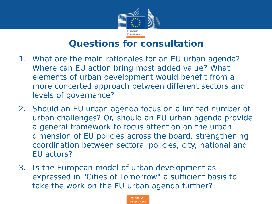

#### **Questions for consultation**

- 1. What are the main rationales for an EU urban agenda? Where can EU action bring most added value? What elements of urban development would benefit from a more concerted approach between different sectors and levels of governance?
- 2. Should an EU urban agenda focus on a limited number of urban challenges? Or, should an EU urban agenda provide a general framework to focus attention on the urban dimension of EU policies across the board, strengthening coordination between sectoral policies, city, national and EU actors?
- 3. Is the European model of urban development as expressed in "Cities of Tomorrow" a sufficient basis to take the work on the EU urban agenda further?

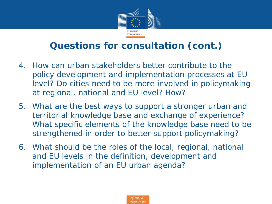

#### **Questions for consultation (cont.)**

- 4. How can urban stakeholders better contribute to the policy development and implementation processes at EU level? Do cities need to be more involved in policymaking at regional, national and EU level? How?
- 5. What are the best ways to support a stronger urban and territorial knowledge base and exchange of experience? What specific elements of the knowledge base need to be strengthened in order to better support policymaking?
- 6. What should be the roles of the local, regional, national and EU levels in the definition, development and implementation of an EU urban agenda?

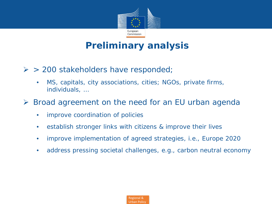

#### **Preliminary analysis**

- $\triangleright$  > 200 stakeholders have responded;
	- MS, capitals, city associations, cities; NGOs, private firms, individuals, …
- Broad agreement on the need for an EU urban agenda
	- improve coordination of policies
	- establish stronger links with citizens & improve their lives
	- improve implementation of agreed strategies, i.e., Europe 2020
	- address pressing societal challenges, e.g., carbon neutral economy

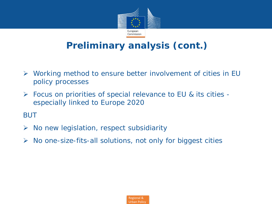

#### **Preliminary analysis (cont.)**

- Working method to ensure better involvement of cities in EU policy processes
- $\triangleright$  Focus on priorities of special relevance to EU & its cities especially linked to Europe 2020

*BUT*

- $\triangleright$  No new legislation, respect subsidiarity
- $\triangleright$  No one-size-fits-all solutions, not only for biggest cities

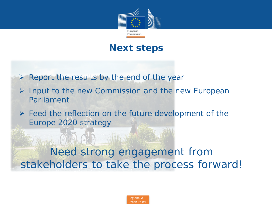

#### **Next steps**

- $\triangleright$  Report the results by the end of the year
- $\triangleright$  Input to the new Commission and the new European Parliament
- $\triangleright$  Feed the reflection on the future development of the Europe 2020 strategy

Need strong engagement from stakeholders to take the process forward!